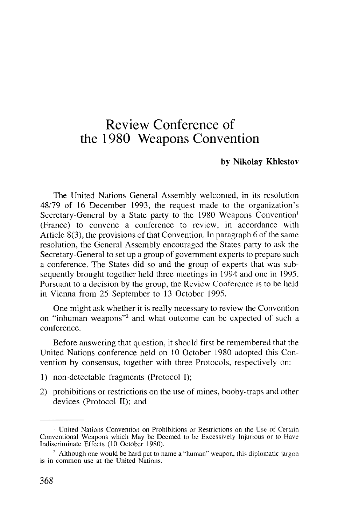## Review Conference of the 1980 Weapons Convention

## **by Nikolay Khlestov**

The United Nations General Assembly welcomed, in its resolution 48/79 of 16 December 1993, the request made to the organization's Secretary-General by a State party to the 1980 Weapons Convention<sup>1</sup> (France) to convene a conference to review, in accordance with Article 8(3), the provisions of that Convention. In paragraph 6 of the same resolution, the General Assembly encouraged the States party to ask the Secretary-General to setup a group of government experts to prepare such a conference. The States did so and the group of experts that was subsequently brought together held three meetings in 1994 and one in 1995. Pursuant to a decision by the group, the Review Conference is to be held in Vienna from 25 September to 13 October 1995.

One might ask whether it is really necessary to review the Convention on "inhuman weapons"<sup>2</sup> and what outcome can be expected of such a conference.

Before answering that question, it should first be remembered that the United Nations conference held on 10 October 1980 adopted this Convention by consensus, together with three Protocols, respectively on:

- 1) non-detectable fragments (Protocol I);
- 2) prohibitions or restrictions on the use of mines, booby-traps and other devices (Protocol II); and

<sup>&</sup>lt;sup>1</sup> United Nations Convention on Prohibitions or Restrictions on the Use of Certain Conventional Weapons which May be Deemed to be Excessively Injurious or to Have Indiscriminate Effects (10 October 1980).

<sup>&</sup>lt;sup>2</sup> Although one would be hard put to name a "human" weapon, this diplomatic jargor is in common use at the United Nations.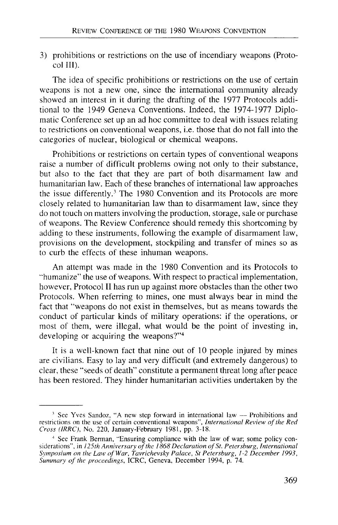3) prohibitions or restrictions on the use of incendiary weapons (Protocol III).

The idea of specific prohibitions or restrictions on the use of certain weapons is not a new one, since the international community already showed an interest in it during the drafting of the 1977 Protocols additional to the 1949 Geneva Conventions. Indeed, the 1974-1977 Diplomatic Conference set up an ad hoc committee to deal with issues relating to restrictions on conventional weapons, i.e. those that do not fall into the categories of nuclear, biological or chemical weapons.

Prohibitions or restrictions on certain types of conventional weapons raise a number of difficult problems owing not only to their substance, but also to the fact that they are part of both disarmament law and humanitarian law. Each of these branches of international law approaches the issue differently.<sup>3</sup> The 1980 Convention and its Protocols are more closely related to humanitarian law than to disarmament law, since they do not touch on matters involving the production, storage, sale or purchase of weapons. The Review Conference should remedy this shortcoming by adding to these instruments, following the example of disarmament law, provisions on the development, stockpiling and transfer of mines so as to curb the effects of these inhuman weapons.

An attempt was made in the 1980 Convention and its Protocols to "humanize" the use of weapons. With respect to practical implementation, however, Protocol II has run up against more obstacles than the other two Protocols. When referring to mines, one must always bear in mind the fact that "weapons do not exist in themselves, but as means towards the conduct of particular kinds of military operations: if the operations, or most of them, were illegal, what would be the point of investing in, developing or acquiring the weapons?"<sup>4</sup>

It is a well-known fact that nine out of 10 people injured by mines are civilians. Easy to lay and very difficult (and extremely dangerous) to clear, these "seeds of death" constitute a permanent threat long after peace has been restored. They hinder humanitarian activities undertaken by the

<sup>&</sup>lt;sup>3</sup> See Yves Sandoz, "A new step forward in international law -- Prohibitions and restrictions on the use of certain conventional weapons", *International Review of the Red Cross (IRRC),* No. 220, January-February 1981, pp. 3-18.

<sup>4</sup> See Frank Berman, "Ensuring compliance with the law of war; some policy considerations", in 125th Anniversary of the 1868 Declaration of St. Petersburg, International *Symposium on the Law of War, Tavrichevsky Palace, St Petersburg, 1-2 December 1993, Summary of the proceedings,* ICRC, Geneva, December 1994, p. 74.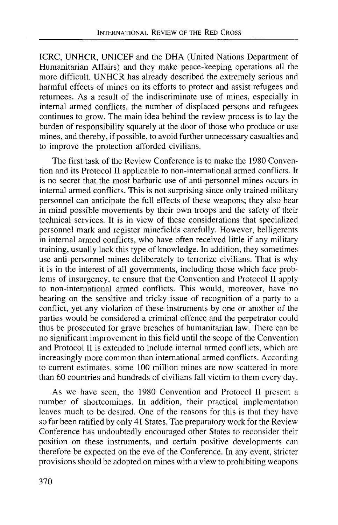ICRC, UNHCR, UNICEF and the DHA (United Nations Department of Humanitarian Affairs) and they make peace-keeping operations all the more difficult. UNHCR has already described the extremely serious and harmful effects of mines on its efforts to protect and assist refugees and returnees. As a result of the indiscriminate use of mines, especially in internal armed conflicts, the number of displaced persons and refugees continues to grow. The main idea behind the review process is to lay the burden of responsibility squarely at the door of those who produce or use mines, and thereby, if possible, to avoid further unnecessary casualties and to improve the protection afforded civilians.

The first task of the Review Conference is to make the 1980 Convention and its Protocol II applicable to non-international armed conflicts. It is no secret that the most barbaric use of anti-personnel mines occurs in internal armed conflicts. This is not surprising since only trained military personnel can anticipate the full effects of these weapons; they also bear in mind possible movements by their own troops and the safety of their technical services. It is in view of these considerations that specialized personnel mark and register minefields carefully. However, belligerents in internal armed conflicts, who have often received little if any military training, usually lack this type of knowledge. In addition, they sometimes use anti-personnel mines deliberately to terrorize civilians. That is why it is in the interest of all governments, including those which face problems of insurgency, to ensure that the Convention and Protocol II apply to non-international armed conflicts. This would, moreover, have no bearing on the sensitive and tricky issue of recognition of a party to a conflict, yet any violation of these instruments by one or another of the parties would be considered a criminal offence and the perpetrator could thus be prosecuted for grave breaches of humanitarian law. There can be no significant improvement in this field until the scope of the Convention and Protocol II is extended to include internal armed conflicts, which are increasingly more common than international armed conflicts. According to current estimates, some 100 million mines are now scattered in more than 60 countries and hundreds of civilians fall victim to them every day.

As we have seen, the 1980 Convention and Protocol II present a number of shortcomings. In addition, their practical implementation leaves much to be desired. One of the reasons for this is that they have so far been ratified by only 41 States. The preparatory work for the Review Conference has undoubtedly encouraged other States to reconsider their position on these instruments, and certain positive developments can therefore be expected on the eve of the Conference. In any event, stricter provisions should be adopted on mines with a view to prohibiting weapons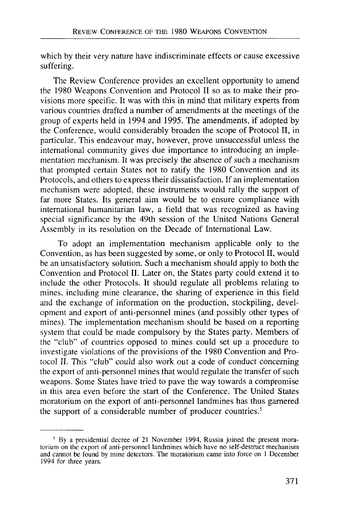which by their very nature have indiscriminate effects or cause excessive suffering.

The Review Conference provides an excellent opportunity to amend the 1980 Weapons Convention and Protocol II so as to make their provisions more specific. It was with this in mind that military experts from various countries drafted a number of amendments at the meetings of the group of experts held in 1994 and 1995. The amendments, if adopted by the Conference, would considerably broaden the scope of Protocol II, in particular. This endeavour may, however, prove unsuccessful unless the international community gives due importance to introducing an implementation mechanism. It was precisely the absence of such a mechanism that prompted certain States not to ratify the 1980 Convention and its Protocols, and others to express their dissatisfaction. If an implementation mechanism were adopted, these instruments would rally the support of far more States. Its general aim would be to ensure compliance with international humanitarian law, a field that was recognized as having special significance by the 49th session of the United Nations General Assembly in its resolution on the Decade of International Law.

To adopt an implementation mechanism applicable only to the Convention, as has been suggested by some, or only to Protocol II, would be an unsatisfactory solution. Such a mechanism should apply to both the Convention and Protocol II. Later on, the States party could extend it to include the other Protocols. It should regulate all problems relating to mines, including mine clearance, the sharing of experience in this field and the exchange of information on the production, stockpiling, development and export of anti-personnel mines (and possibly other types of mines). The implementation mechanism should be based on a reporting system that could be made compulsory by the States party. Members of the "club" of countries opposed to mines could set up a procedure to investigate violations of the provisions of the 1980 Convention and Protocol II. This "club" could also work out a code of conduct concerning the export of anti-personnel mines that would regulate the transfer of such weapons. Some States have tried to pave the way towards a compromise in this area even before the start of the Conference. The United States moratorium on the export of anti-personnel landmines has thus garnered the support of a considerable number of producer countries.<sup>5</sup>

<sup>&</sup>lt;sup>5</sup> By a presidential decree of 21 November 1994, Russia joined the present moratorium on the export of anti-personnel landmines which have no self-destruct mechanism and cannot be found by mine detectors. The moratorium came into force on 1 December 1994 for three years.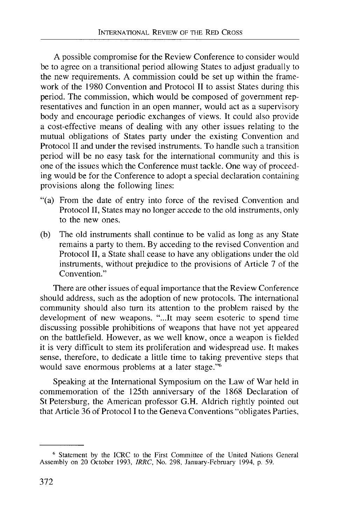A possible compromise for the Review Conference to consider would be to agree on a transitional period allowing States to adjust gradually to the new requirements. A commission could be set up within the framework of the 1980 Convention and Protocol II to assist States during this period. The commission, which would be composed of government representatives and function in an open manner, would act as a supervisory body and encourage periodic exchanges of views. It could also provide a cost-effective means of dealing with any other issues relating to the mutual obligations of States party under the existing Convention and Protocol II and under the revised instruments. To handle such a transition period will be no easy task for the international community and this is one of the issues which the Conference must tackle. One way of proceeding would be for the Conference to adopt a special declaration containing provisions along the following lines:

- "(a) From the date of entry into force of the revised Convention and Protocol II, States may no longer accede to the old instruments, only to the new ones.
- (b) The old instruments shall continue to be valid as long as any State remains a party to them. By acceding to the revised Convention and Protocol II, a State shall cease to have any obligations under the old instruments, without prejudice to the provisions of Article 7 of the Convention."

There are other issues of equal importance that the Review Conference should address, such as the adoption of new protocols. The international community should also turn its attention to the problem raised by the development of new weapons. "...It may seem esoteric to spend time discussing possible prohibitions of weapons that have not yet appeared on the battlefield. However, as we well know, once a weapon is fielded it is very difficult to stem its proliferation and widespread use. It makes sense, therefore, to dedicate a little time to taking preventive steps that would save enormous problems at a later stage."<sup>6</sup>

Speaking at the International Symposium on the Law of War held in commemoration of the 125th anniversary of the 1868 Declaration of St Petersburg, the American professor G.H. Aldrich rightly pointed out that Article 36 of Protocol I to the Geneva Conventions "obligates Parties,

<sup>6</sup> Statement by the ICRC to the First Committee of the United Nations General Assembly on 20 October 1993, *IRRC,* No. 298, January-February 1994, p. 59.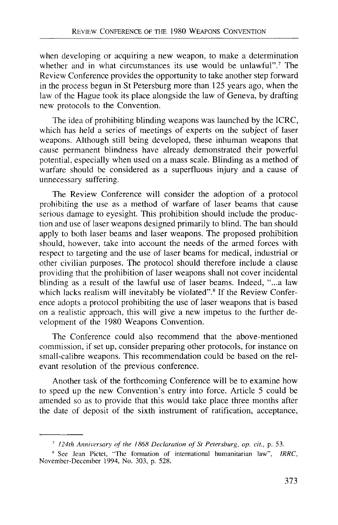when developing or acquiring a new weapon, to make a determination whether and in what circumstances its use would be unlawful".<sup>7</sup> The Review Conference provides the opportunity to take another step forward in the process begun in St Petersburg more than 125 years ago, when the law of the Hague took its place alongside the law of Geneva, by drafting new protocols to the Convention.

The idea of prohibiting blinding weapons was launched by the ICRC, which has held a series of meetings of experts on the subject of laser weapons. Although still being developed, these inhuman weapons that cause permanent blindness have already demonstrated their powerful potential, especially when used on a mass scale. Blinding as a method of warfare should be considered as a superfluous injury and a cause of unnecessary suffering.

The Review Conference will consider the adoption of a protocol prohibiting the use as a method of warfare of laser beams that cause serious damage to eyesight. This prohibition should include the production and use of laser weapons designed primarily to blind. The ban should apply to both laser beams and laser weapons. The proposed prohibition should, however, take into account the needs of the armed forces with respect to targeting and the use of laser beams for medical, industrial or other civilian purposes. The protocol should therefore include a clause providing that the prohibition of laser weapons shall not cover incidental blinding as a result of the lawful use of laser beams. Indeed, "...a law which lacks realism will inevitably be violated".<sup>8</sup> If the Review Conference adopts a protocol prohibiting the use of laser weapons that is based on a realistic approach, this will give a new impetus to the further development of the 1980 Weapons Convention.

The Conference could also recommend that the above-mentioned commission, if set up, consider preparing other protocols, for instance on small-calibre weapons. This recommendation could be based on the relevant resolution of the previous conference.

Another task of the forthcoming Conference will be to examine how to speed up the new Convention's entry into force. Article 5 could be amended so as to provide that this would take place three months after the date of deposit of the sixth instrument of ratification, acceptance,

<sup>7</sup>  *124th Anniversary of the 1868 Declaration of St Petersburg, op. cit.,* p. 53.

<sup>8</sup> See Jean Pictet, "The formation of international humanitarian law", *IRRC,* November-December 1994, No. 303, p. 528.